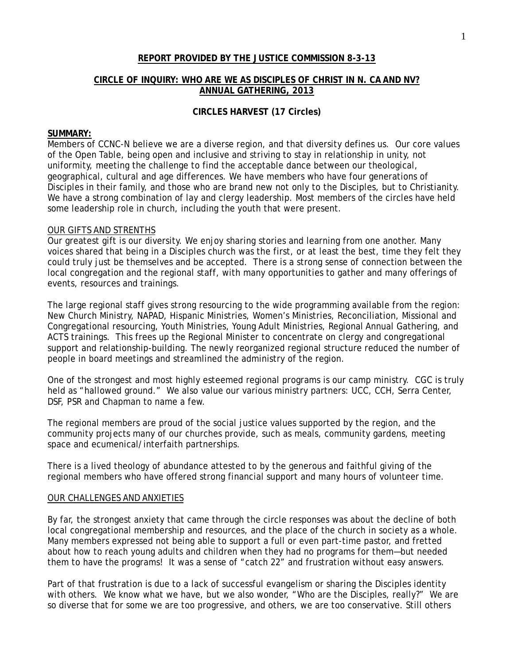#### **REPORT PROVIDED BY THE JUSTICE COMMISSION 8-3-13**

#### **CIRCLE OF INQUIRY: WHO ARE WE AS DISCIPLES OF CHRIST IN N. CA AND NV? ANNUAL GATHERING, 2013**

#### **CIRCLES HARVEST (17 Circles)**

#### **SUMMARY:**

Members of CCNC-N believe we are a diverse region, and that diversity defines us. Our core values of the Open Table, being open and inclusive and striving to stay in relationship in unity, not uniformity, meeting the challenge to find the acceptable dance between our theological, geographical, cultural and age differences. We have members who have four generations of Disciples in their family, and those who are brand new not only to the Disciples, but to Christianity. We have a strong combination of lay and clergy leadership. Most members of the circles have held some leadership role in church, including the youth that were present.

#### OUR GIFTS AND STRENTHS

Our greatest gift is our diversity. We enjoy sharing stories and learning from one another. Many voices shared that being in a Disciples church was the first, or at least the best, time they felt they could truly just be themselves and be accepted. There is a strong sense of connection between the local congregation and the regional staff, with many opportunities to gather and many offerings of events, resources and trainings.

The large regional staff gives strong resourcing to the wide programming available from the region: New Church Ministry, NAPAD, Hispanic Ministries, Women's Ministries, Reconciliation, Missional and Congregational resourcing, Youth Ministries, Young Adult Ministries, Regional Annual Gathering, and ACTS trainings. This frees up the Regional Minister to concentrate on clergy and congregational support and relationship-building. The newly reorganized regional structure reduced the number of people in board meetings and streamlined the administry of the region.

One of the strongest and most highly esteemed regional programs is our camp ministry. CGC is truly held as "hallowed ground." We also value our various ministry partners: UCC, CCH, Serra Center, DSF, PSR and Chapman to name a few.

The regional members are proud of the social justice values supported by the region, and the community projects many of our churches provide, such as meals, community gardens, meeting space and ecumenical/interfaith partnerships.

There is a lived theology of abundance attested to by the generous and faithful giving of the regional members who have offered strong financial support and many hours of volunteer time.

#### OUR CHALLENGES AND ANXIETIES

By far, the strongest anxiety that came through the circle responses was about the decline of both local congregational membership and resources, and the place of the church in society as a whole. Many members expressed not being able to support a full or even part-time pastor, and fretted about how to reach young adults and children when they had no programs for them—but needed them to have the programs! It was a sense of "catch 22" and frustration without easy answers.

Part of that frustration is due to a lack of successful evangelism or sharing the Disciples identity with others. We know what we have, but we also wonder, "Who are the Disciples, really?" We are so diverse that for some we are too progressive, and others, we are too conservative. Still others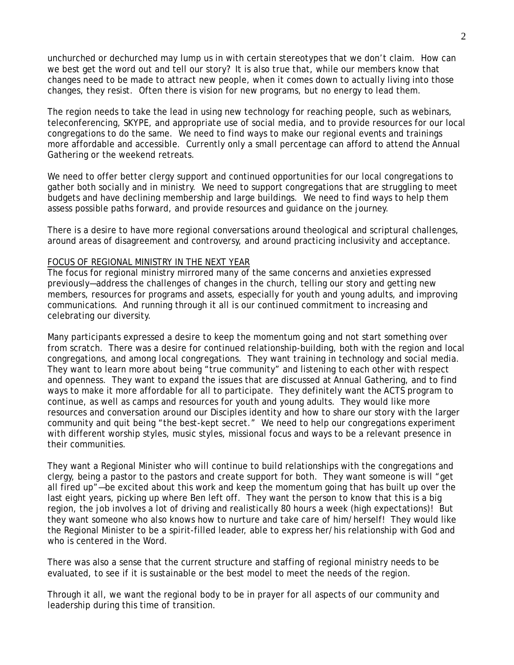unchurched or dechurched may lump us in with certain stereotypes that we don't claim. How can we best get the word out and tell our story? It is also true that, while our members know that changes need to be made to attract new people, when it comes down to actually living into those changes, they resist. Often there is vision for new programs, but no energy to lead them.

The region needs to take the lead in using new technology for reaching people, such as webinars, teleconferencing, SKYPE, and appropriate use of social media, and to provide resources for our local congregations to do the same. We need to find ways to make our regional events and trainings more affordable and accessible. Currently only a small percentage can afford to attend the Annual Gathering or the weekend retreats.

We need to offer better clergy support and continued opportunities for our local congregations to gather both socially and in ministry. We need to support congregations that are struggling to meet budgets and have declining membership and large buildings. We need to find ways to help them assess possible paths forward, and provide resources and guidance on the journey.

There is a desire to have more regional conversations around theological and scriptural challenges, around areas of disagreement and controversy, and around practicing inclusivity and acceptance.

#### FOCUS OF REGIONAL MINISTRY IN THE NEXT YEAR

The focus for regional ministry mirrored many of the same concerns and anxieties expressed previously—address the challenges of changes in the church, telling our story and getting new members, resources for programs and assets, especially for youth and young adults, and improving communications. And running through it all is our continued commitment to increasing and celebrating our diversity.

Many participants expressed a desire to keep the momentum going and not start something over from scratch. There was a desire for continued relationship-building, both with the region and local congregations, and among local congregations. They want training in technology and social media. They want to learn more about being "true community" and listening to each other with respect and openness. They want to expand the issues that are discussed at Annual Gathering, and to find ways to make it more affordable for all to participate. They definitely want the ACTS program to continue, as well as camps and resources for youth and young adults. They would like more resources and conversation around our Disciples identity and how to share our story with the larger community and quit being "the best-kept secret." We need to help our congregations experiment with different worship styles, music styles, missional focus and ways to be a relevant presence in their communities.

They want a Regional Minister who will continue to build relationships with the congregations and clergy, being a pastor to the pastors and create support for both. They want someone is will "get all fired up"—be excited about this work and keep the momentum going that has built up over the last eight years, picking up where Ben left off. They want the person to know that this is a big region, the job involves a lot of driving and realistically 80 hours a week (high expectations)! But they want someone who also knows how to nurture and take care of him/herself! They would like the Regional Minister to be a spirit-filled leader, able to express her/his relationship with God and who is centered in the Word.

There was also a sense that the current structure and staffing of regional ministry needs to be evaluated, to see if it is sustainable or the best model to meet the needs of the region.

Through it all, we want the regional body to be in prayer for all aspects of our community and leadership during this time of transition.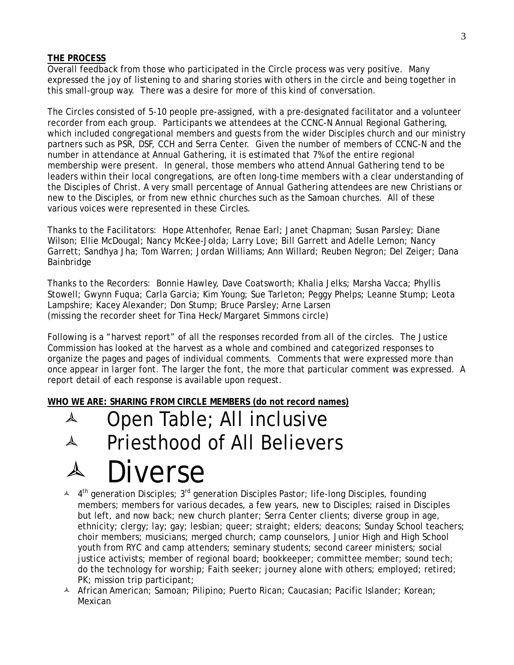#### **THE PROCESS**

Overall feedback from those who participated in the Circle process was very positive. Many expressed the joy of listening to and sharing stories with others in the circle and being together in this small-group way. There was a desire for more of this kind of conversation.

The Circles consisted of 5-10 people pre-assigned, with a pre-designated facilitator and a volunteer recorder from each group. Participants we attendees at the CCNC-N Annual Regional Gathering, which included congregational members and guests from the wider Disciples church and our ministry partners such as PSR, DSF, CCH and Serra Center. Given the number of members of CCNC-N and the number in attendance at Annual Gathering, it is estimated that 7% of the entire regional membership were present. In general, those members who attend Annual Gathering tend to be leaders within their local congregations, are often long-time members with a clear understanding of the Disciples of Christ. A very small percentage of Annual Gathering attendees are new Christians or new to the Disciples, or from new ethnic churches such as the Samoan churches. All of these various voices were represented in these Circles.

Thanks to the Facilitators: Hope Attenhofer, Renae Earl; Janet Chapman; Susan Parsley; Diane Wilson; Ellie McDougal; Nancy McKee-Jolda; Larry Love; Bill Garrett and Adelle Lemon; Nancy Garrett; Sandhya Jha; Tom Warren; Jordan Williams; Ann Willard; Reuben Negron; Del Zeiger; Dana Bainbridge

Thanks to the Recorders: Bonnie Hawley, Dave Coatsworth; Khalia Jelks; Marsha Vacca; Phyllis Stowell; Gwynn Fuqua; Carla Garcia; Kim Young; Sue Tarleton; Peggy Phelps; Leanne Stump; Leota Lampshire; Kacey Alexander; Don Stump; Bruce Parsley; Arne Larsen (missing the recorder sheet for Tina Heck/Margaret Simmons circle)

Following is a "harvest report" of all the responses recorded from all of the circles. The Justice Commission has looked at the harvest as a whole and combined and categorized responses to organize the pages and pages of individual comments. Comments that were expressed more than once appear in larger font. The larger the font, the more that particular comment was expressed. A report detail of each response is available upon request.

**WHO WE ARE: SHARING FROM CIRCLE MEMBERS (do not record names)** 



- $4$  4<sup>th</sup> generation Disciples; 3<sup>rd</sup> generation Disciples Pastor; life-long Disciples, founding members; members for various decades, a few years, new to Disciples; raised in Disciples but left, and now back; new church planter; Serra Center clients; diverse group in age, ethnicity; clergy; lay; gay; lesbian; queer; straight; elders; deacons; Sunday School teachers; choir members; musicians; merged church; camp counselors, Junior High and High School youth from RYC and camp attenders; seminary students; second career ministers; social justice activists; member of regional board; bookkeeper; committee member; sound tech; do the technology for worship; Faith seeker; journey alone with others; employed; retired; PK; mission trip participant;
- A African American; Samoan; Pilipino; Puerto Rican; Caucasian; Pacific Islander; Korean; Mexican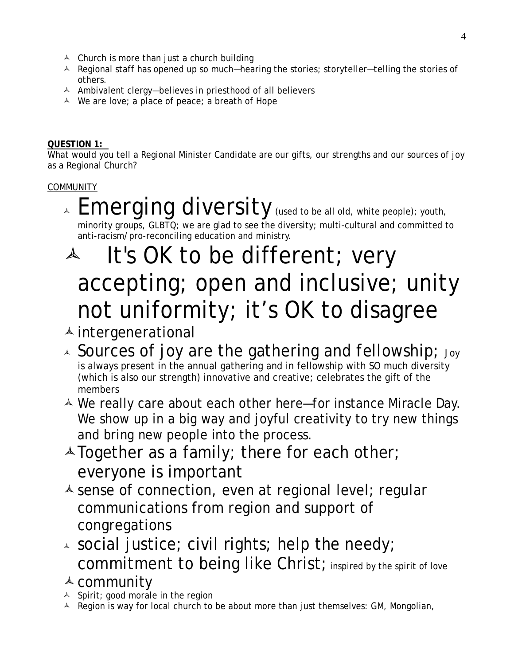- $\triangle$  Church is more than just a church building
- $\triangle$  Regional staff has opened up so much—hearing the stories; storyteller—telling the stories of others.
- $\triangle$  Ambivalent clergy—believes in priesthood of all believers
- $\triangle$  We are love; a place of peace; a breath of Hope

#### **QUESTION 1:**

What would you tell a Regional Minister Candidate are our gifts, our strengths and our sources of joy as a Regional Church?

#### **COMMUNITY**

 $\overline{\mathcal{A}}$  Emerging diversity (used to be all old, white people); youth, minority groups, GLBTQ; we are glad to see the diversity; multi-cultural and committed to anti-racism/pro-reconciling education and ministry.

# $\overline{a}$  It's OK to be different; very accepting; open and inclusive; unity not uniformity; it's OK to disagree

# $\triangle$  intergenerational

- $\lambda$  Sources of joy are the gathering and fellowship; Joy is always present in the annual gathering and in fellowship with SO much diversity (which is also our strength) innovative and creative; celebrates the gift of the members
- $\triangle$  We really care about each other here—for instance Miracle Day. We show up in a big way and joyful creativity to try new things and bring new people into the process.
- $\triangle$  Together as a family; there for each other; everyone is important
- $\triangle$  sense of connection, even at regional level; regular communications from region and support of congregations
- $\lambda$  social justice; civil rights; help the needy; commitment to being like Christ; inspired by the spirit of love
- $\triangle$  community
- $\triangle$  Spirit; good morale in the region
- $\overline{A}$  Region is way for local church to be about more than just themselves: GM, Mongolian,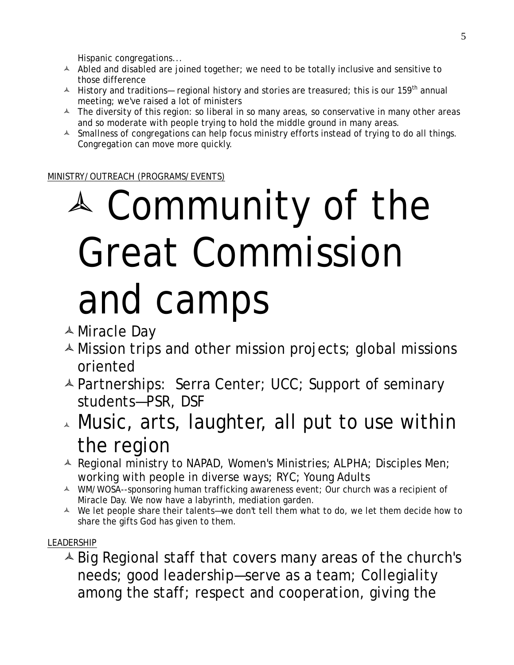Hispanic congregations...

- $\triangle$  Abled and disabled are joined together; we need to be totally inclusive and sensitive to those difference
- A History and traditions— regional history and stories are treasured; this is our 159<sup>th</sup> annual meeting; we've raised a lot of ministers
- $\triangle$  The diversity of this region: so liberal in so many areas, so conservative in many other areas and so moderate with people trying to hold the middle ground in many areas.
- A Smallness of congregations can help focus ministry efforts instead of trying to do all things. Congregation can move more quickly.

MINISTRY/OUTREACH (PROGRAMS/EVENTS)

# Community of the Great Commission and camps

- Miracle Day
- $\triangle$  Mission trips and other mission projects; global missions oriented
- Partnerships: Serra Center; UCC; Support of seminary students—PSR, DSF
- $\lambda$  Music, arts, laughter, all put to use within the region
- $\triangle$  Regional ministry to NAPAD, Women's Ministries; ALPHA; Disciples Men; working with people in diverse ways; RYC; Young Adults
- A WM/WOSA--sponsoring human trafficking awareness event; Our church was a recipient of Miracle Day. We now have a labyrinth, mediation garden.
- $\triangle$  We let people share their talents—we don't tell them what to do, we let them decide how to share the gifts God has given to them.

#### LEADERSHIP

 $\triangle$  Big Regional staff that covers many areas of the church's needs; good leadership—serve as a team; Collegiality among the staff; respect and cooperation, giving the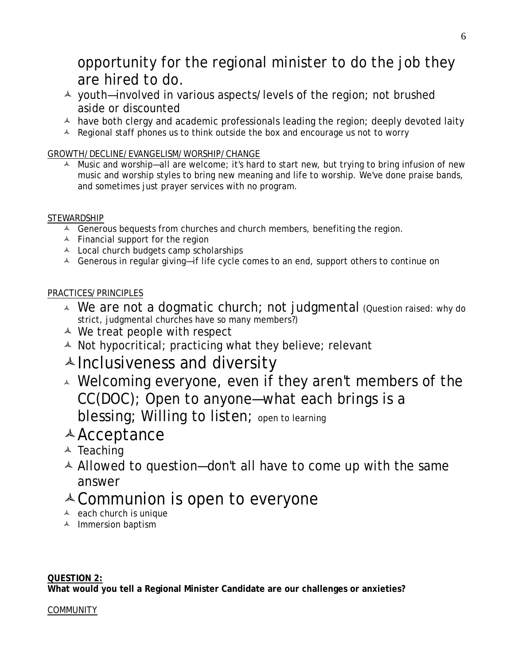# opportunity for the regional minister to do the job they are hired to do.

- youth—involved in various aspects/levels of the region; not brushed aside or discounted
- $\triangle$  have both clergy and academic professionals leading the region; deeply devoted laity
- $\triangle$  Regional staff phones us to think outside the box and encourage us not to worry

#### GROWTH/DECLINE/EVANGELISM/WORSHIP/CHANGE

 $\blacktriangle$  Music and worship—all are welcome; it's hard to start new, but trying to bring infusion of new music and worship styles to bring new meaning and life to worship. We've done praise bands, and sometimes just prayer services with no program.

#### STEWARDSHIP

- $\triangle$  Generous bequests from churches and church members, benefiting the region.
- $\triangle$  Financial support for the region
- $\triangle$  Local church budgets camp scholarships
- A Generous in regular giving-if life cycle comes to an end, support others to continue on

#### PRACTICES/PRINCIPLES

- $\sim$  We are not a dogmatic church; not judgmental (Question raised: why do strict, judgmental churches have so many members?)
- $\triangle$  We treat people with respect
- $\triangle$  Not hypocritical; practicing what they believe; relevant
- $\triangle$  Inclusiveness and diversity
- $\lambda$  Welcoming everyone, even if they aren't members of the CC(DOC); Open to anyone—what each brings is a blessing; Willing to listen; open to learning

# Acceptance

- $\triangle$  Teaching
- $\triangle$  Allowed to question—don't all have to come up with the same answer

# $\triangle$  Communion is open to everyone

- $\triangle$  each church is unique
- $\uparrow$  Immersion baptism

#### **QUESTION 2:**

**What would you tell a Regional Minister Candidate are our challenges or anxieties?** 

#### **COMMUNITY**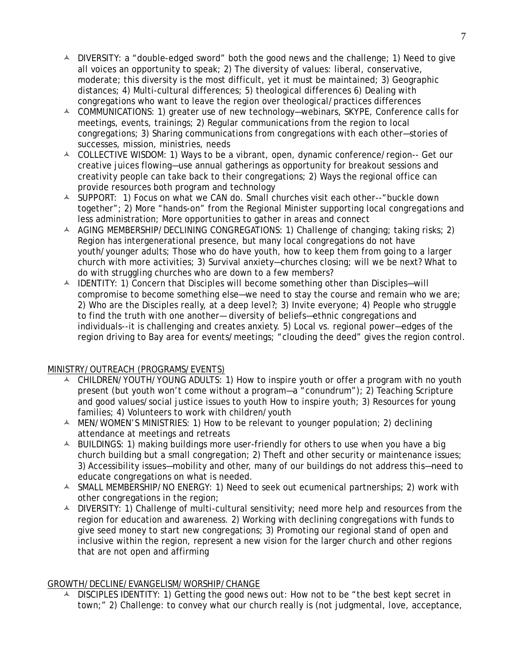- $\triangle$  DIVERSITY: a "double-edged sword" both the good news and the challenge; 1) Need to give all voices an opportunity to speak; 2) The diversity of values: liberal, conservative, moderate; this diversity is the most difficult, yet it must be maintained; 3) Geographic distances; 4) Multi-cultural differences; 5) theological differences 6) Dealing with congregations who want to leave the region over theological/practices differences
- COMMUNICATIONS: 1) greater use of new technology—webinars, SKYPE, Conference calls for meetings, events, trainings; 2) Regular communications from the region to local congregations; 3) Sharing communications from congregations with each other—stories of successes, mission, ministries, needs
- A COLLECTIVE WISDOM: 1) Ways to be a vibrant, open, dynamic conference/region-- Get our creative juices flowing—use annual gatherings as opportunity for breakout sessions and creativity people can take back to their congregations; 2) Ways the regional office can provide resources both program and technology
- $\triangle$  SUPPORT: 1) Focus on what we CAN do. Small churches visit each other--"buckle down together"; 2) More "hands-on" from the Regional Minister supporting local congregations and less administration; More opportunities to gather in areas and connect
- A AGING MEMBERSHIP/DECLINING CONGREGATIONS: 1) Challenge of changing; taking risks; 2) Region has intergenerational presence, but many local congregations do not have youth/younger adults; Those who do have youth, how to keep them from going to a larger church with more activities; 3) Survival anxiety—churches closing; will we be next? What to do with struggling churches who are down to a few members?
- $\triangle$  IDENTITY: 1) Concern that Disciples will become something other than Disciples—will compromise to become something else—we need to stay the course and remain who we are; 2) Who are the Disciples really, at a deep level?; 3) Invite everyone; 4) People who struggle to find the truth with one another— diversity of beliefs—ethnic congregations and individuals--it is challenging and creates anxiety. 5) Local vs. regional power—edges of the region driving to Bay area for events/meetings; "clouding the deed" gives the region control.

#### MINISTRY/OUTREACH (PROGRAMS/EVENTS)

- A CHILDREN/YOUTH/YOUNG ADULTS: 1) How to inspire youth or offer a program with no youth present (but youth won't come without a program—a "conundrum"); 2) Teaching Scripture and good values/social justice issues to youth How to inspire youth; 3) Resources for young families; 4) Volunteers to work with children/youth
- A MEN/WOMEN'S MINISTRIES: 1) How to be relevant to younger population; 2) declining attendance at meetings and retreats
- $\triangle$  BUILDINGS: 1) making buildings more user-friendly for others to use when you have a big church building but a small congregation; 2) Theft and other security or maintenance issues; 3) Accessibility issues—mobility and other, many of our buildings do not address this—need to educate congregations on what is needed.
- A SMALL MEMBERSHIP/NO ENERGY: 1) Need to seek out ecumenical partnerships; 2) work with other congregations in the region;
- $\triangle$  DIVERSITY: 1) Challenge of multi-cultural sensitivity; need more help and resources from the region for education and awareness. 2) Working with declining congregations with funds to give seed money to start new congregations; 3) Promoting our regional stand of open and inclusive within the region, represent a new vision for the larger church and other regions that are not open and affirming

#### GROWTH/DECLINE/EVANGELISM/WORSHIP/CHANGE

A DISCIPLES IDENTITY: 1) Getting the good news out: How not to be "the best kept secret in town;" 2) Challenge: to convey what our church really is (not judgmental, love, acceptance,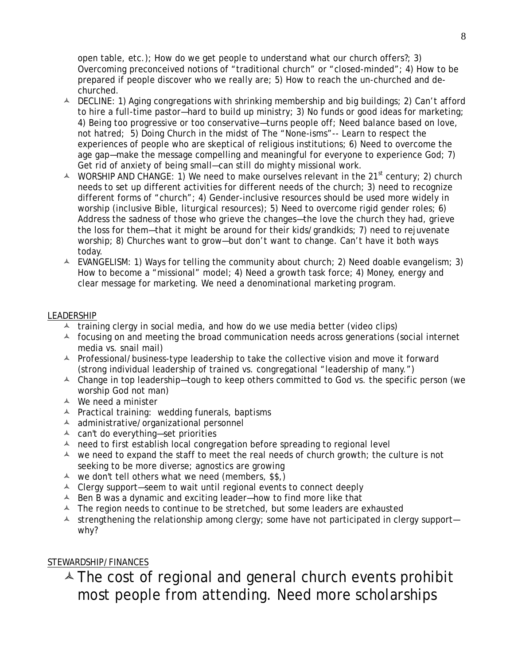open table, etc.); How do we get people to understand what our church offers?; 3) Overcoming preconceived notions of "traditional church" or "closed-minded"; 4) How to be prepared if people discover who we really are; 5) How to reach the un-churched and dechurched.

- $\triangle$  DECLINE: 1) Aging congregations with shrinking membership and big buildings; 2) Can't afford to hire a full-time pastor—hard to build up ministry; 3) No funds or good ideas for marketing; 4) Being too progressive or too conservative—turns people off; Need balance based on love, not hatred; 5) Doing Church in the midst of The "None-isms"-- Learn to respect the experiences of people who are skeptical of religious institutions; 6) Need to overcome the age gap—make the message compelling and meaningful for everyone to experience God; 7) Get rid of anxiety of being small—can still do mighty missional work.
- $\triangle$  WORSHIP AND CHANGE: 1) We need to make ourselves relevant in the 21<sup>st</sup> century; 2) church needs to set up different activities for different needs of the church; 3) need to recognize different forms of "church"; 4) Gender-inclusive resources should be used more widely in worship (inclusive Bible, liturgical resources); 5) Need to overcome rigid gender roles; 6) Address the sadness of those who grieve the changes—the love the church they had, grieve the loss for them—that it might be around for their kids/grandkids; 7) need to rejuvenate worship; 8) Churches want to grow—but don't want to change. Can't have it both ways today.
- $\triangle$  EVANGELISM: 1) Ways for telling the community about church; 2) Need doable evangelism; 3) How to become a "missional" model; 4) Need a growth task force; 4) Money, energy and clear message for marketing. We need a denominational marketing program.

#### LEADERSHIP

- $\uparrow$  training clergy in social media, and how do we use media better (video clips)
- $\triangle$  focusing on and meeting the broad communication needs across generations (social internet media vs. snail mail)
- $\triangle$  Professional/business-type leadership to take the collective vision and move it forward (strong individual leadership of trained vs. congregational "leadership of many.")
- $\triangle$  Change in top leadership—tough to keep others committed to God vs. the specific person (we worship God not man)
- $\triangle$  We need a minister
- $\triangle$  Practical training: wedding funerals, baptisms
- $\triangle$  administrative/organizational personnel
- can't do everything—set priorities
- $\triangle$  need to first establish local congregation before spreading to regional level
- $\triangle$  we need to expand the staff to meet the real needs of church growth; the culture is not seeking to be more diverse; agnostics are growing
- $\uparrow$  we don't tell others what we need (members, \$\$,)
- $\triangle$  Clergy support—seem to wait until regional events to connect deeply
- $\triangle$  Ben B was a dynamic and exciting leader—how to find more like that
- $\triangle$  The region needs to continue to be stretched, but some leaders are exhausted
- $\lambda$  strengthening the relationship among clergy; some have not participated in clergy support why?

#### STEWARDSHIP/FINANCES

 $\triangle$  The cost of regional and general church events prohibit most people from attending. Need more scholarships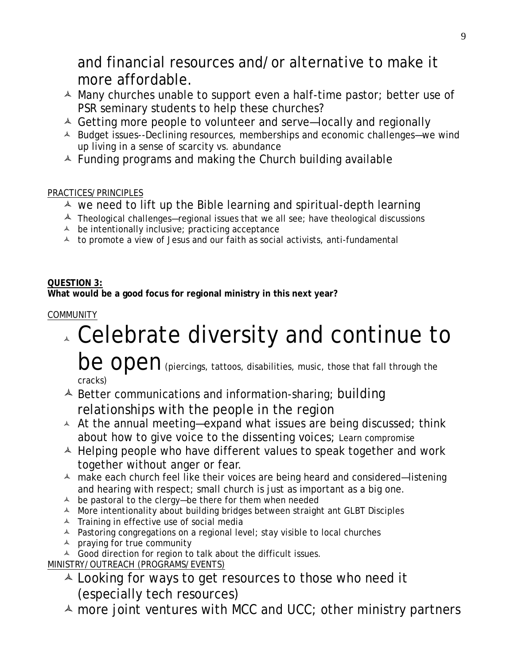## and financial resources and/or alternative to make it more affordable.

- $\triangle$  Many churches unable to support even a half-time pastor; better use of PSR seminary students to help these churches?
- $\triangle$  Getting more people to volunteer and serve-locally and regionally
- A Budget issues--Declining resources, memberships and economic challenges—we wind up living in a sense of scarcity vs. abundance
- $\triangle$  Funding programs and making the Church building available

#### PRACTICES/PRINCIPLES

- $\triangle$  we need to lift up the Bible learning and spiritual-depth learning
- $\triangle$  Theological challenges—regional issues that we all see; have theological discussions
- $\triangle$  be intentionally inclusive; practicing acceptance
- $\lambda$  to promote a view of Jesus and our faith as social activists, anti-fundamental

#### **QUESTION 3:**

**What would be a good focus for regional ministry in this next year?** 

#### **COMMUNITY**

# Celebrate diversity and continue to

be open (piercings, tattoos, disabilities, music, those that fall through the cracks)

- $\triangle$  Better communications and information-sharing; building relationships with the people in the region
- $\triangle$  At the annual meeting—expand what issues are being discussed; think about how to give voice to the dissenting voices; Learn compromise
- $\triangle$  Helping people who have different values to speak together and work together without anger or fear.
- $\triangle$  make each church feel like their voices are being heard and considered-listening and hearing with respect; small church is just as important as a big one.
- $\triangle$  be pastoral to the clergy—be there for them when needed
- A More intentionality about building bridges between straight ant GLBT Disciples
- $\triangle$  Training in effective use of social media
- A Pastoring congregations on a regional level; stay visible to local churches
- $\triangle$  praying for true community
- A Good direction for region to talk about the difficult issues.

MINISTRY/OUTREACH (PROGRAMS/EVENTS)

- $\triangle$  Looking for ways to get resources to those who need it (especially tech resources)
- $\triangle$  more joint ventures with MCC and UCC; other ministry partners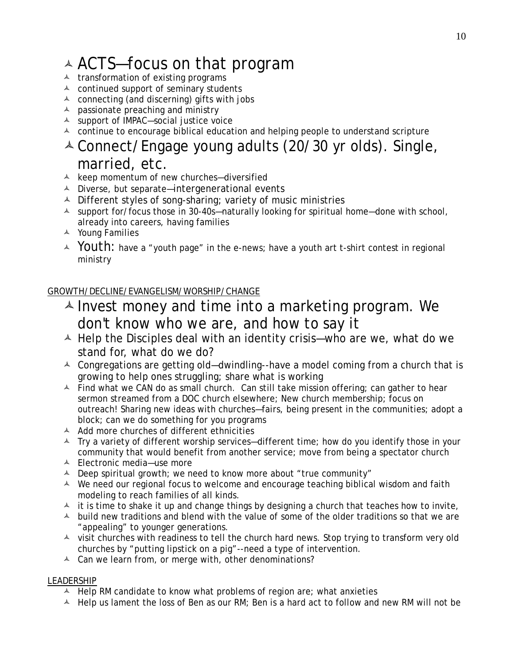# ACTS—focus on that program

- $\triangle$  transformation of existing programs
- $\triangle$  continued support of seminary students
- $\triangle$  connecting (and discerning) gifts with jobs
- $\triangle$  passionate preaching and ministry
- support of IMPAC—social justice voice
- $\triangle$  continue to encourage biblical education and helping people to understand scripture

### Connect/Engage young adults (20/30 yr olds). Single, married, etc.

- $\triangle$  keep momentum of new churches-diversified
- $\triangle$  Diverse, but separate—intergenerational events
- A Different styles of song-sharing; variety of music ministries
- $\lambda$  support for/focus those in 30-40s—naturally looking for spiritual home—done with school, already into careers, having families
- A Young Families
- $\sim$  Youth: have a "youth page" in the e-news; have a youth art t-shirt contest in regional ministry

#### GROWTH/DECLINE/EVANGELISM/WORSHIP/CHANGE

- $\triangle$  Invest money and time into a marketing program. We don't know who we are, and how to say it
- $\triangle$  Help the Disciples deal with an identity crisis—who are we, what do we stand for, what do we do?
- $\triangle$  Congregations are getting old—dwindling--have a model coming from a church that is growing to help ones struggling; share what is working
- $\overline{P}$  Find what we CAN do as small church. Can still take mission offering; can gather to hear sermon streamed from a DOC church elsewhere; New church membership; focus on outreach! Sharing new ideas with churches—fairs, being present in the communities; adopt a block; can we do something for you programs
- $\triangle$  Add more churches of different ethnicities
- $\lambda$  Try a variety of different worship services—different time; how do you identify those in your community that would benefit from another service; move from being a spectator church
- Electronic media—use more
- $\triangle$  Deep spiritual growth; we need to know more about "true community"
- $\triangle$  We need our regional focus to welcome and encourage teaching biblical wisdom and faith modeling to reach families of all kinds.
- $\overline{a}$  it is time to shake it up and change things by designing a church that teaches how to invite,
- $\triangle$  build new traditions and blend with the value of some of the older traditions so that we are "appealing" to younger generations.
- $\lambda$  visit churches with readiness to tell the church hard news. Stop trying to transform very old churches by "putting lipstick on a pig"--need a type of intervention.
- $\triangle$  Can we learn from, or merge with, other denominations?

#### **LEADERSHIP**

- $\triangle$  Help RM candidate to know what problems of region are; what anxieties
- $\overline{A}$  Help us lament the loss of Ben as our RM; Ben is a hard act to follow and new RM will not be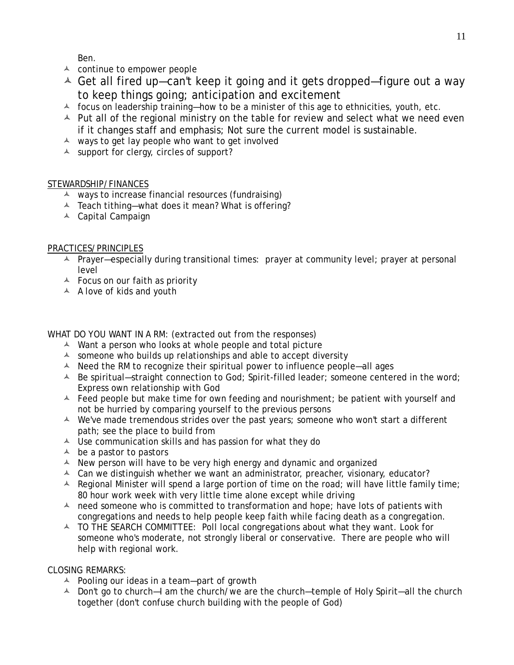Ben.

- $\triangle$  continue to empower people
- $\triangle$  Get all fired up—can't keep it going and it gets dropped—figure out a way to keep things going; anticipation and excitement
- $\triangle$  focus on leadership training—how to be a minister of this age to ethnicities, youth, etc.
- $\triangle$  Put all of the regional ministry on the table for review and select what we need even if it changes staff and emphasis; Not sure the current model is sustainable.
- $\triangle$  ways to get lay people who want to get involved
- $\triangle$  support for clergy, circles of support?

#### STEWARDSHIP/FINANCES

- $\uparrow$  ways to increase financial resources (fundraising)
- $\triangle$  Teach tithing—what does it mean? What is offering?
- Capital Campaign

#### PRACTICES/PRINCIPLES

- $\triangle$  Prayer—especially during transitional times: prayer at community level; prayer at personal level
- $\triangle$  Focus on our faith as priority
- $\triangle$  A love of kids and youth

WHAT DO YOU WANT IN A RM: (extracted out from the responses)

- $\triangle$  Want a person who looks at whole people and total picture
- $\triangle$  someone who builds up relationships and able to accept diversity
- $\triangle$  Need the RM to recognize their spiritual power to influence people—all ages
- $\triangle$  Be spiritual—straight connection to God; Spirit-filled leader; someone centered in the word; Express own relationship with God
- $\triangle$  Feed people but make time for own feeding and nourishment; be patient with yourself and not be hurried by comparing yourself to the previous persons
- $\triangle$  We've made tremendous strides over the past years; someone who won't start a different path; see the place to build from
- $\triangle$  Use communication skills and has passion for what they do
- $\triangle$  be a pastor to pastors
- $\triangle$  New person will have to be very high energy and dynamic and organized
- $\triangle$  Can we distinguish whether we want an administrator, preacher, visionary, educator?
- $\triangle$  Regional Minister will spend a large portion of time on the road; will have little family time; 80 hour work week with very little time alone except while driving
- $\triangle$  need someone who is committed to transformation and hope; have lots of patients with congregations and needs to help people keep faith while facing death as a congregation.
- $\overline{A}$  TO THE SEARCH COMMITTEE: Poll local congregations about what they want. Look for someone who's moderate, not strongly liberal or conservative. There are people who will help with regional work.

#### CLOSING REMARKS:

- $\triangle$  Pooling our ideas in a team-part of growth
- A Don't go to church—I am the church/we are the church—temple of Holy Spirit—all the church together (don't confuse church building with the people of God)